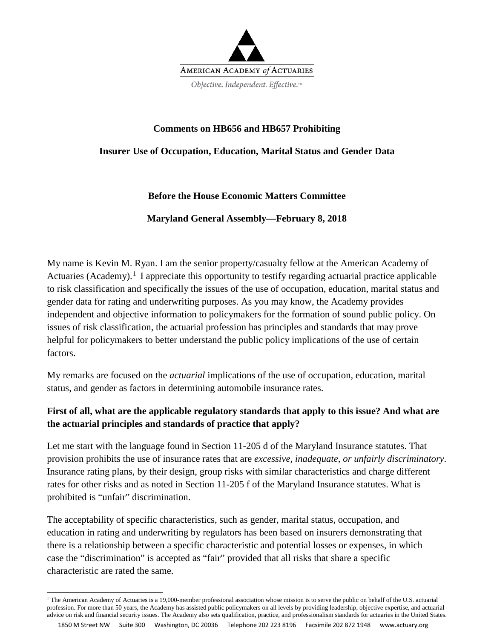

## **Comments on HB656 and HB657 Prohibiting**

### **Insurer Use of Occupation, Education, Marital Status and Gender Data**

## **Before the House Economic Matters Committee**

#### **Maryland General Assembly—February 8, 2018**

My name is Kevin M. Ryan. I am the senior property/casualty fellow at the American Academy of Actuaries (Academy).<sup>[1](#page-0-0)</sup> I appreciate this opportunity to testify regarding actuarial practice applicable to risk classification and specifically the issues of the use of occupation, education, marital status and gender data for rating and underwriting purposes. As you may know, the Academy provides independent and objective information to policymakers for the formation of sound public policy. On issues of risk classification, the actuarial profession has principles and standards that may prove helpful for policymakers to better understand the public policy implications of the use of certain factors.

My remarks are focused on the *actuarial* implications of the use of occupation, education, marital status, and gender as factors in determining automobile insurance rates.

# **First of all, what are the applicable regulatory standards that apply to this issue? And what are the actuarial principles and standards of practice that apply?**

Let me start with the language found in Section 11-205 d of the Maryland Insurance statutes. That provision prohibits the use of insurance rates that are *excessive, inadequate, or unfairly discriminatory*. Insurance rating plans, by their design, group risks with similar characteristics and charge different rates for other risks and as noted in Section 11-205 f of the Maryland Insurance statutes. What is prohibited is "unfair" discrimination.

The acceptability of specific characteristics, such as gender, marital status, occupation, and education in rating and underwriting by regulators has been based on insurers demonstrating that there is a relationship between a specific characteristic and potential losses or expenses, in which case the "discrimination" is accepted as "fair" provided that all risks that share a specific characteristic are rated the same.

<span id="page-0-0"></span>**<sup>.</sup>** <sup>1</sup> The American Academy of Actuaries is a 19,000-member professional association whose mission is to serve the public on behalf of the U.S. actuarial profession. For more than 50 years, the Academy has assisted public policymakers on all levels by providing leadership, objective expertise, and actuarial advice on risk and financial security issues. The Academy also sets qualification, practice, and professionalism standards for actuaries in the United States.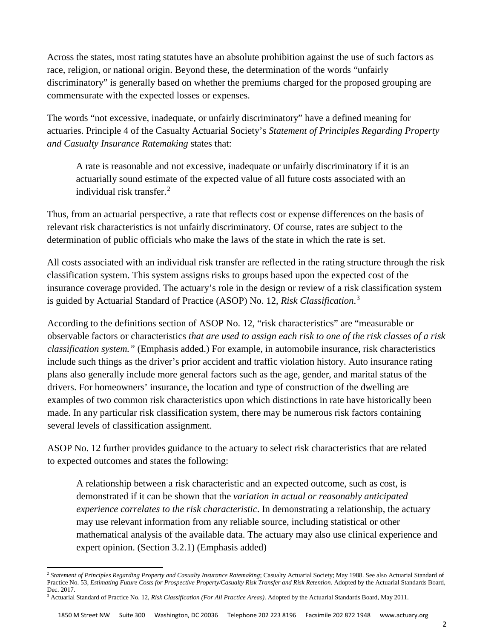Across the states, most rating statutes have an absolute prohibition against the use of such factors as race, religion, or national origin. Beyond these, the determination of the words "unfairly discriminatory" is generally based on whether the premiums charged for the proposed grouping are commensurate with the expected losses or expenses.

The words "not excessive, inadequate, or unfairly discriminatory" have a defined meaning for actuaries. Principle 4 of the Casualty Actuarial Society's *Statement of Principles Regarding Property and Casualty Insurance Ratemaking* states that:

A rate is reasonable and not excessive, inadequate or unfairly discriminatory if it is an actuarially sound estimate of the expected value of all future costs associated with an individual risk transfer.[2](#page-1-0)

Thus, from an actuarial perspective, a rate that reflects cost or expense differences on the basis of relevant risk characteristics is not unfairly discriminatory. Of course, rates are subject to the determination of public officials who make the laws of the state in which the rate is set.

All costs associated with an individual risk transfer are reflected in the rating structure through the risk classification system. This system assigns risks to groups based upon the expected cost of the insurance coverage provided. The actuary's role in the design or review of a risk classification system is guided by Actuarial Standard of Practice (ASOP) No. 12, *Risk Classification*. [3](#page-1-1)

According to the definitions section of ASOP No. 12, "risk characteristics" are "measurable or observable factors or characteristics *that are used to assign each risk to one of the risk classes of a risk classification system."* (Emphasis added.) For example, in automobile insurance, risk characteristics include such things as the driver's prior accident and traffic violation history. Auto insurance rating plans also generally include more general factors such as the age, gender, and marital status of the drivers. For homeowners' insurance, the location and type of construction of the dwelling are examples of two common risk characteristics upon which distinctions in rate have historically been made. In any particular risk classification system, there may be numerous risk factors containing several levels of classification assignment.

ASOP No. 12 further provides guidance to the actuary to select risk characteristics that are related to expected outcomes and states the following:

A relationship between a risk characteristic and an expected outcome, such as cost, is demonstrated if it can be shown that the *variation in actual or reasonably anticipated experience correlates to the risk characteristic*. In demonstrating a relationship, the actuary may use relevant information from any reliable source, including statistical or other mathematical analysis of the available data. The actuary may also use clinical experience and expert opinion. (Section 3.2.1) (Emphasis added)

**.** 

<span id="page-1-0"></span><sup>2</sup> *Statement of Principles Regarding Property and Casualty Insurance Ratemaking*; Casualty Actuarial Society; May 1988. See also Actuarial Standard of Practice No. 53, *Estimating Future Costs for Prospective Property/Casualty Risk Transfer and Risk Retention*. Adopted by the Actuarial Standards Board, Dec. 2017.

<span id="page-1-1"></span><sup>3</sup> Actuarial Standard of Practice No. 12, *Risk Classification (For All Practice Areas)*. Adopted by the Actuarial Standards Board, May 2011.